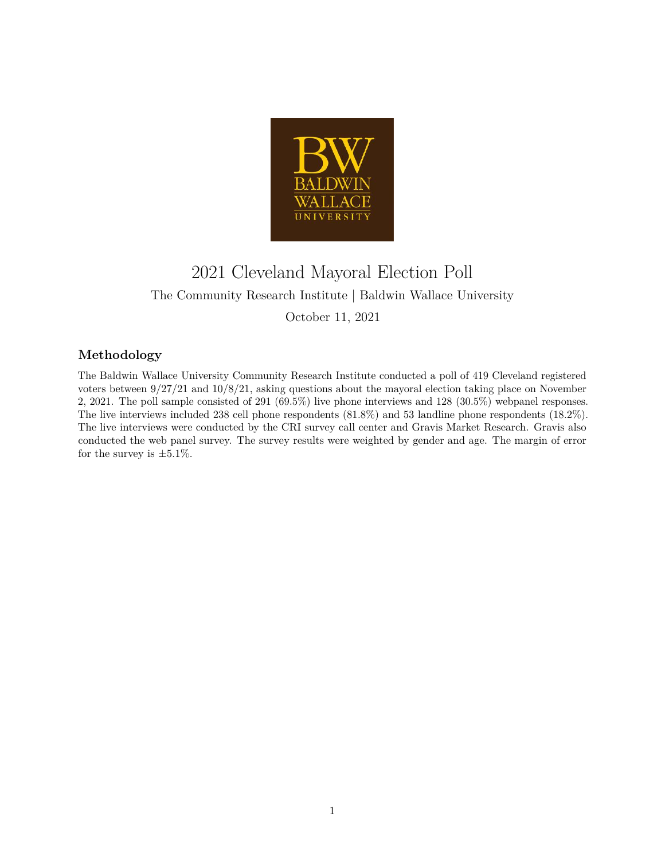

# 2021 Cleveland Mayoral Election Poll The Community Research Institute | Baldwin Wallace University October 11, 2021

## **Methodology**

The Baldwin Wallace University Community Research Institute conducted a poll of 419 Cleveland registered voters between 9/27/21 and 10/8/21, asking questions about the mayoral election taking place on November 2, 2021. The poll sample consisted of 291 (69.5%) live phone interviews and 128 (30.5%) webpanel responses. The live interviews included 238 cell phone respondents (81.8%) and 53 landline phone respondents (18.2%). The live interviews were conducted by the CRI survey call center and Gravis Market Research. Gravis also conducted the web panel survey. The survey results were weighted by gender and age. The margin of error for the survey is  $\pm 5.1\%$ .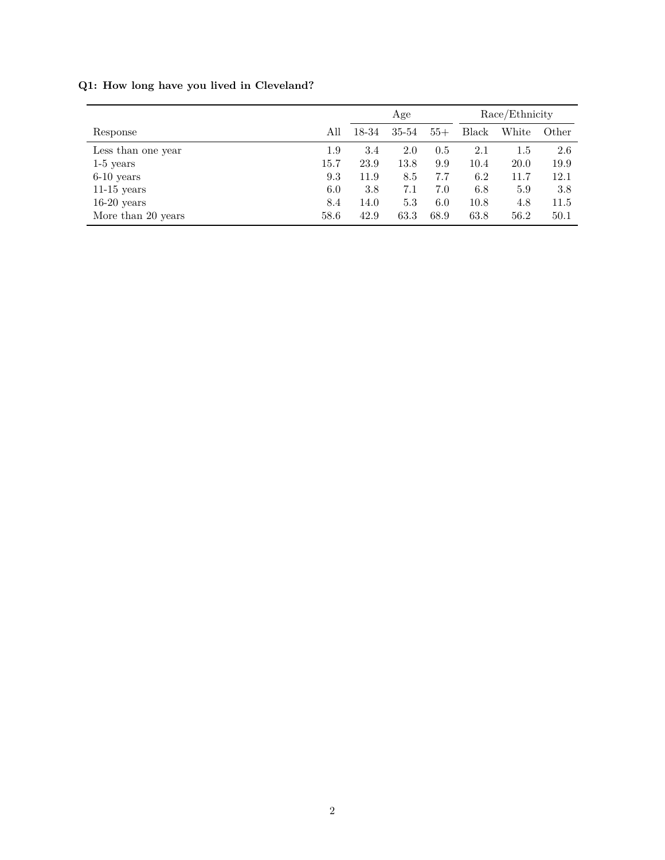|                    |          | Age   |       |       | Race/Ethnicity |       |       |
|--------------------|----------|-------|-------|-------|----------------|-------|-------|
| Response           | All      | 18-34 | 35-54 | $55+$ | Black          | White | Other |
| Less than one year | 1.9      | 3.4   | 2.0   | 0.5   | 2.1            | 1.5   | 2.6   |
| $1-5$ years        | $15.7\,$ | 23.9  | 13.8  | 9.9   | 10.4           | 20.0  | 19.9  |
| $6-10$ years       | 9.3      | 11.9  | 8.5   | 7.7   | 6.2            | 11.7  | 12.1  |
| $11-15$ years      | 6.0      | 3.8   | 7.1   | 7.0   | 6.8            | 5.9   | 3.8   |
| $16-20$ years      | 8.4      | 14.0  | 5.3   | 6.0   | 10.8           | 4.8   | 11.5  |
| More than 20 years | 58.6     | 42.9  | 63.3  | 68.9  | 63.8           | 56.2  | 50.1  |

## **Q1: How long have you lived in Cleveland?**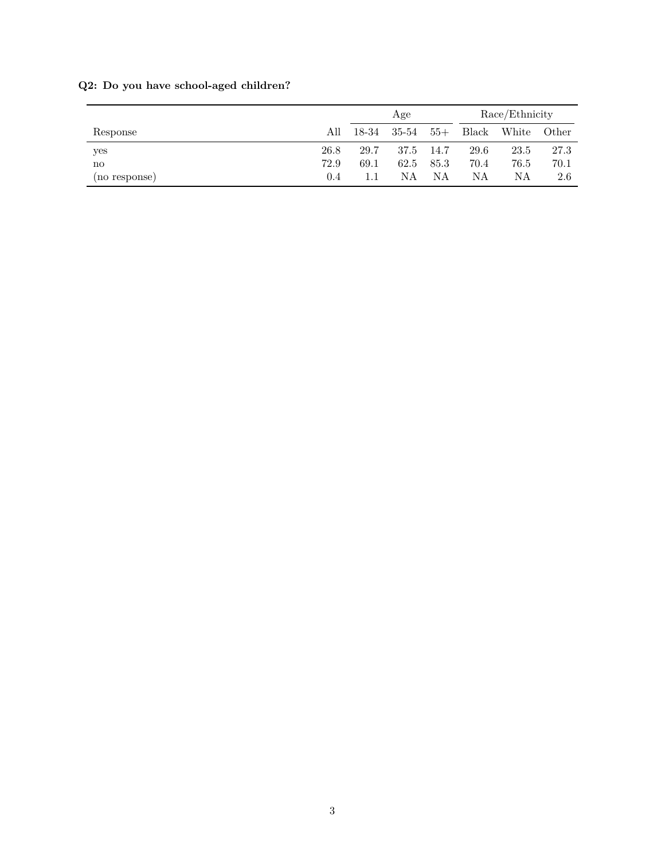|               |               | Age   |       |       | Race/Ethnicity |       |       |
|---------------|---------------|-------|-------|-------|----------------|-------|-------|
| Response      | All           | 18-34 | 35-54 | $55+$ | Black          | White | Other |
| yes           | 26.8          | 29.7  | 37.5  | 14.7  | 29.6           | 23.5  | 27.3  |
| no            | 72.9          | 69.1  | 62.5  | 85.3  | 70.4           | 76.5  | 70.1  |
| (no response) | $0.4^{\circ}$ | 1.1   | NΑ    | NΑ    | NΑ             | ΝA    | 2.6   |

## **Q2: Do you have school-aged children?**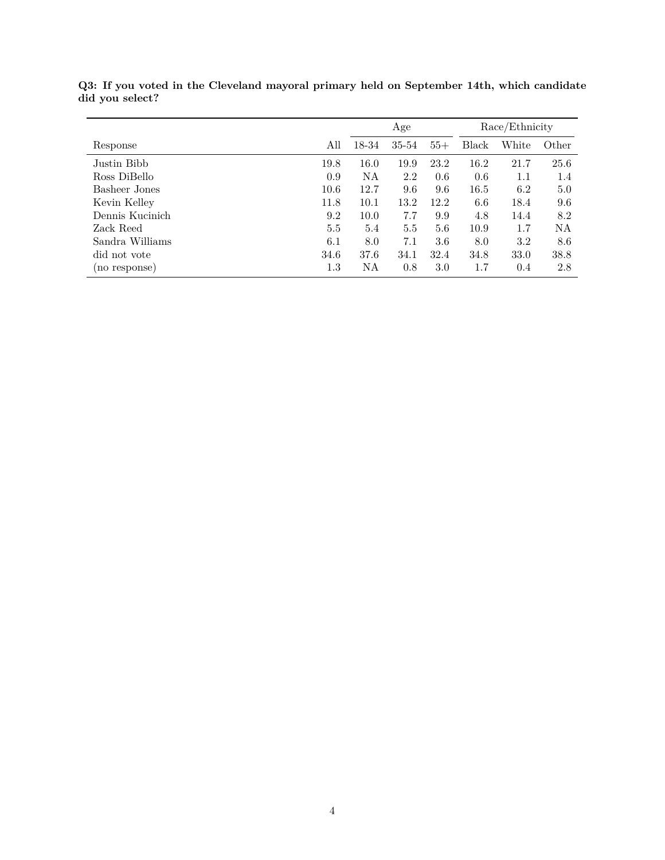|                 |         | Age   |       |       | Race/Ethnicity |       |       |
|-----------------|---------|-------|-------|-------|----------------|-------|-------|
| Response        | All     | 18-34 | 35-54 | $55+$ | Black          | White | Other |
| Justin Bibb     | 19.8    | 16.0  | 19.9  | 23.2  | 16.2           | 21.7  | 25.6  |
| Ross DiBello    | 0.9     | NA    | 2.2   | 0.6   | 0.6            | 1.1   | 1.4   |
| Basheer Jones   | 10.6    | 12.7  | 9.6   | 9.6   | 16.5           | 6.2   | 5.0   |
| Kevin Kelley    | 11.8    | 10.1  | 13.2  | 12.2  | 6.6            | 18.4  | 9.6   |
| Dennis Kucinich | 9.2     | 10.0  | 7.7   | 9.9   | 4.8            | 14.4  | 8.2   |
| Zack Reed       | 5.5     | 5.4   | 5.5   | 5.6   | 10.9           | 1.7   | NA    |
| Sandra Williams | 6.1     | 8.0   | 7.1   | 3.6   | 8.0            | 3.2   | 8.6   |
| did not vote    | 34.6    | 37.6  | 34.1  | 32.4  | 34.8           | 33.0  | 38.8  |
| (no response)   | $1.3\,$ | NA    | 0.8   | 3.0   | 1.7            | 0.4   | 2.8   |

**Q3: If you voted in the Cleveland mayoral primary held on September 14th, which candidate did you select?**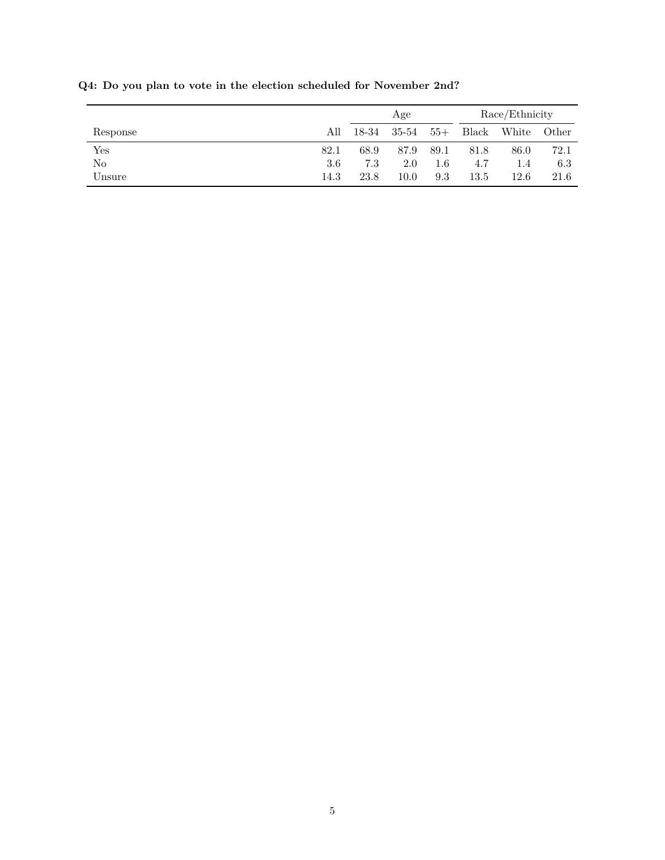|              |      | Age   |       | Race/Ethnicity |       |       |       |
|--------------|------|-------|-------|----------------|-------|-------|-------|
| Response     | All  | 18-34 | 35-54 | $55+$          | Black | White | Other |
| $_{\rm Yes}$ | 82.1 | 68.9  | 87.9  | 89.1           | 81.8  | 86.0  | 72.1  |
| No           | 3.6  | 7.3   | 2.0   | $1.6\,$        | 4.7   | 1.4   | 6.3   |
| Unsure       | 14.3 | 23.8  | 10.0  | 9.3            | 13.5  | 12.6  | 21.6  |

**Q4: Do you plan to vote in the election scheduled for November 2nd?**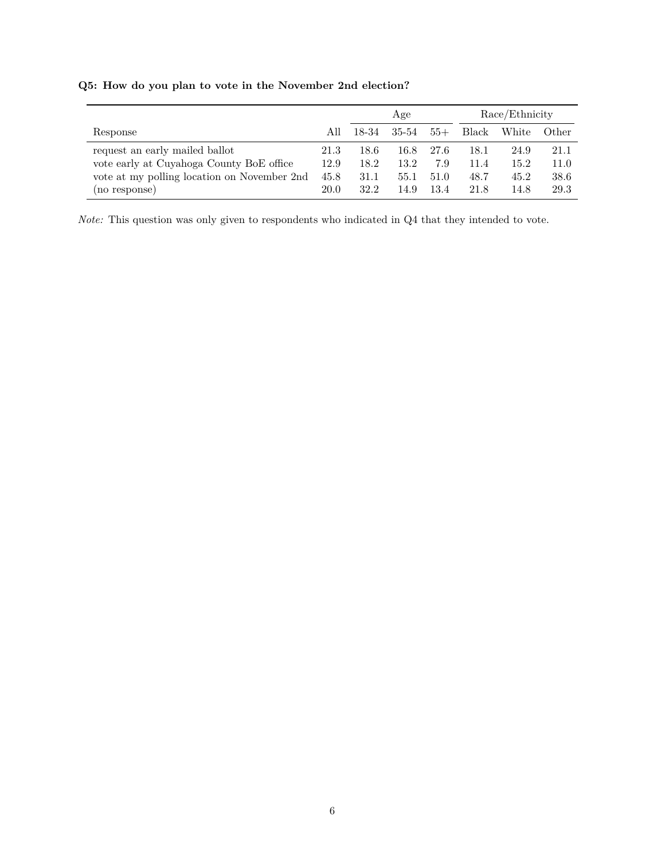|                                                                                                                                            |                              | Age                          |                              |                             | Race/Ethnicity               |                              |                              |
|--------------------------------------------------------------------------------------------------------------------------------------------|------------------------------|------------------------------|------------------------------|-----------------------------|------------------------------|------------------------------|------------------------------|
| Response                                                                                                                                   | All                          | 18-34                        | 35-54                        | $55+$                       | Black                        | White                        | Other                        |
| request an early mailed ballot<br>vote early at Cuyahoga County BoE office<br>vote at my polling location on November 2nd<br>(no response) | 21.3<br>12.9<br>45.8<br>20.0 | 18.6<br>18.2<br>31.1<br>32.2 | 16.8<br>13.2<br>55.1<br>14.9 | 27.6<br>7.9<br>51.0<br>13.4 | 18.1<br>11.4<br>48.7<br>21.8 | 24.9<br>15.2<br>45.2<br>14.8 | 21.1<br>11.0<br>38.6<br>29.3 |

## **Q5: How do you plan to vote in the November 2nd election?**

*Note:* This question was only given to respondents who indicated in Q4 that they intended to vote.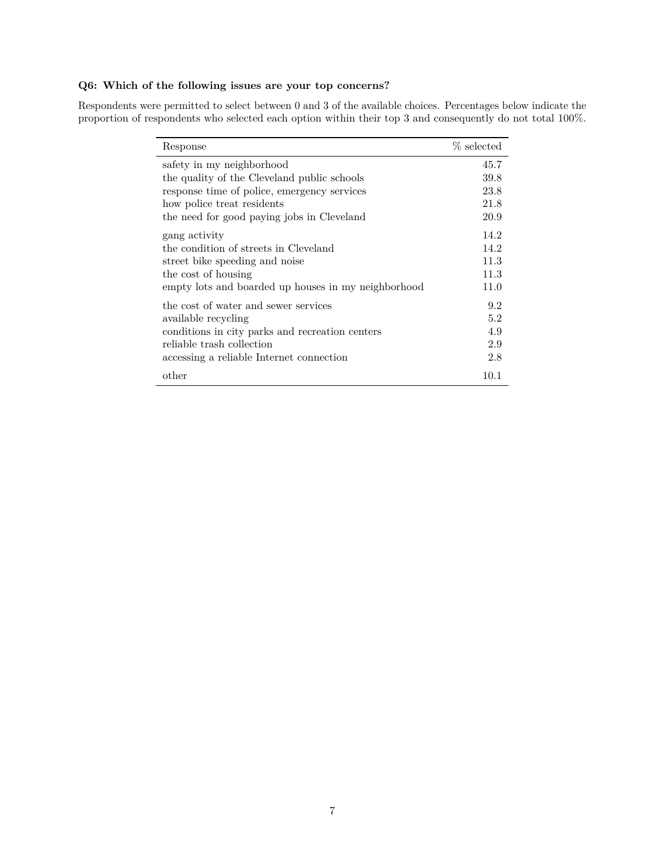#### **Q6: Which of the following issues are your top concerns?**

Respondents were permitted to select between 0 and 3 of the available choices. Percentages below indicate the proportion of respondents who selected each option within their top 3 and consequently do not total 100%.

| Response                                            | % selected |
|-----------------------------------------------------|------------|
| safety in my neighborhood                           | 45.7       |
| the quality of the Cleveland public schools         | 39.8       |
| response time of police, emergency services         | 23.8       |
| how police treat residents                          | 21.8       |
| the need for good paying jobs in Cleveland          | 20.9       |
| gang activity                                       | 14.2       |
| the condition of streets in Cleveland               | 14.2       |
| street bike speeding and noise                      | 11.3       |
| the cost of housing                                 | 11.3       |
| empty lots and boarded up houses in my neighborhood | 11.0       |
| the cost of water and sewer services                | 9.2        |
| available recycling                                 | 5.2        |
| conditions in city parks and recreation centers     | 4.9        |
| reliable trash collection                           | 2.9        |
| accessing a reliable Internet connection            | 2.8        |
| other                                               | 10.1       |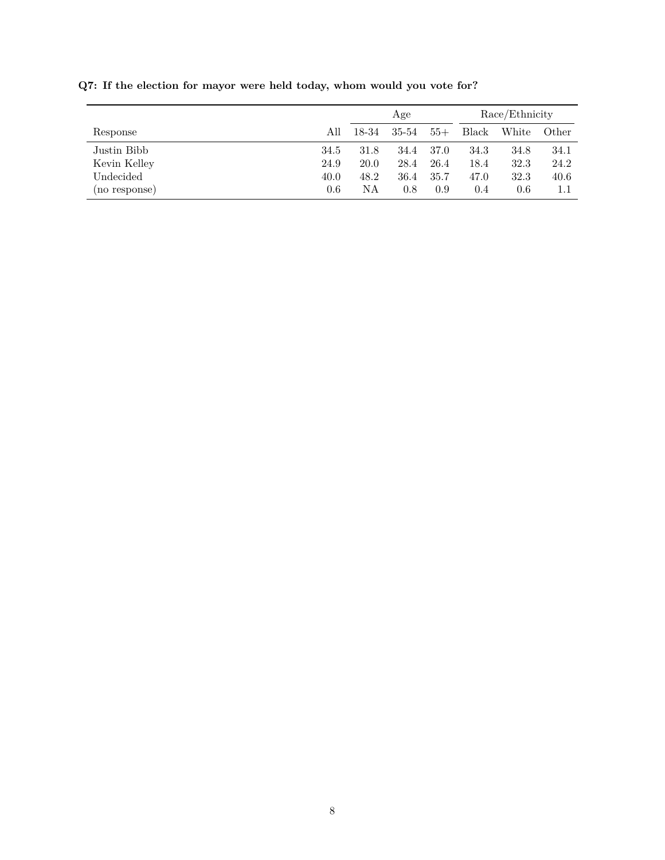|               |      | Age   |         |       | Race/Ethnicity |       |       |
|---------------|------|-------|---------|-------|----------------|-------|-------|
| Response      | All  | 18-34 | 35-54   | $55+$ | Black          | White | Other |
| Justin Bibb   | 34.5 | 31.8  | 34.4    | 37.0  | 34.3           | 34.8  | 34.1  |
| Kevin Kelley  | 24.9 | 20.0  | 28.4    | 26.4  | 18.4           | 32.3  | 24.2  |
| Undecided     | 40.0 | 48.2  | 36.4    | 35.7  | 47.0           | 32.3  | 40.6  |
| (no response) | 0.6  | NΑ    | $0.8\,$ | 0.9   | 0.4            | 0.6   |       |

**Q7: If the election for mayor were held today, whom would you vote for?**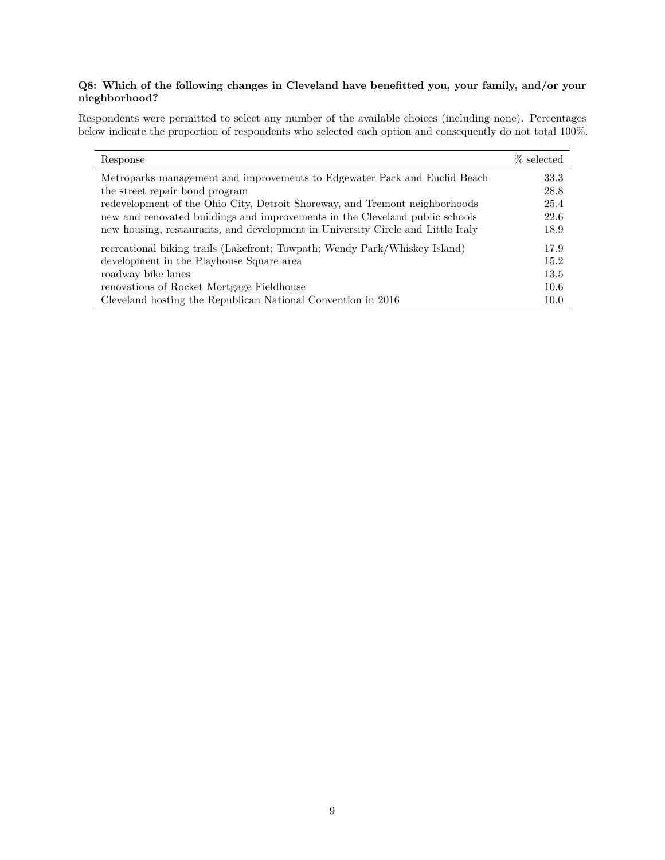#### **Q8: Which of the following changes in Cleveland have benefitted you, your family, and/or your nieghborhood?**

Respondents were permitted to select any number of the available choices (including none). Percentages below indicate the proportion of respondents who selected each option and consequently do not total 100%.

| Response                                                                        | % selected |
|---------------------------------------------------------------------------------|------------|
| Metroparks management and improvements to Edgewater Park and Euclid Beach       | 33.3       |
| the street repair bond program                                                  | 28.8       |
| redevelopment of the Ohio City, Detroit Shoreway, and Tremont neighborhoods     | 25.4       |
| new and renovated buildings and improvements in the Cleveland public schools    | 22.6       |
| new housing, restaurants, and development in University Circle and Little Italy | 18.9       |
| recreational biking trails (Lakefront; Towpath; Wendy Park/Whiskey Island)      | 17.9       |
| development in the Playhouse Square area                                        | 15.2       |
| roadway bike lanes                                                              | 13.5       |
| renovations of Rocket Mortgage Fieldhouse                                       | 10.6       |
| Cleveland hosting the Republican National Convention in 2016                    | 10.0       |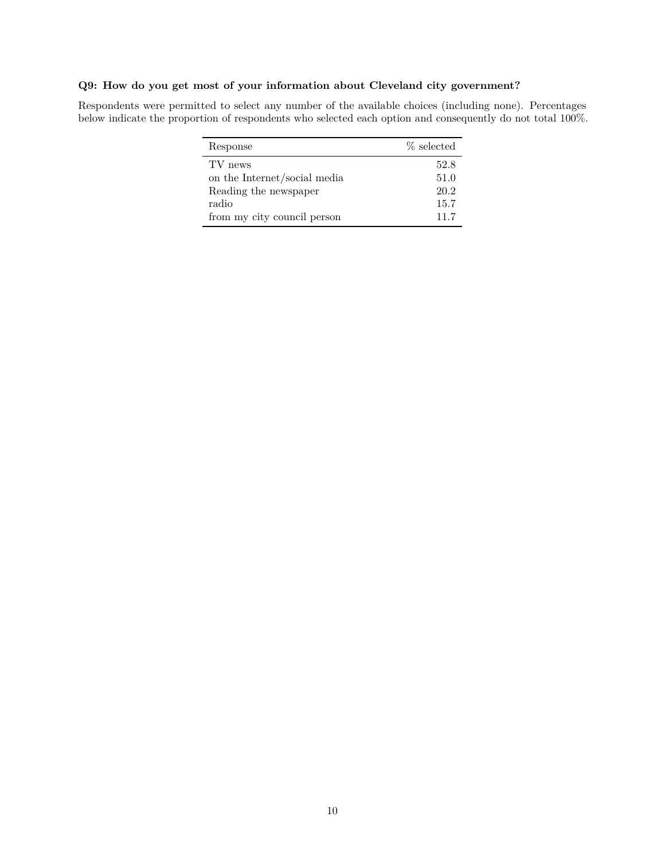#### **Q9: How do you get most of your information about Cleveland city government?**

Respondents were permitted to select any number of the available choices (including none). Percentages below indicate the proportion of respondents who selected each option and consequently do not total 100%.

| Response                     | % selected |
|------------------------------|------------|
| TV news                      | 52.8       |
| on the Internet/social media | 51.0       |
| Reading the newspaper        | 20.2       |
| radio                        | 15.7       |
| from my city council person  | 11.7       |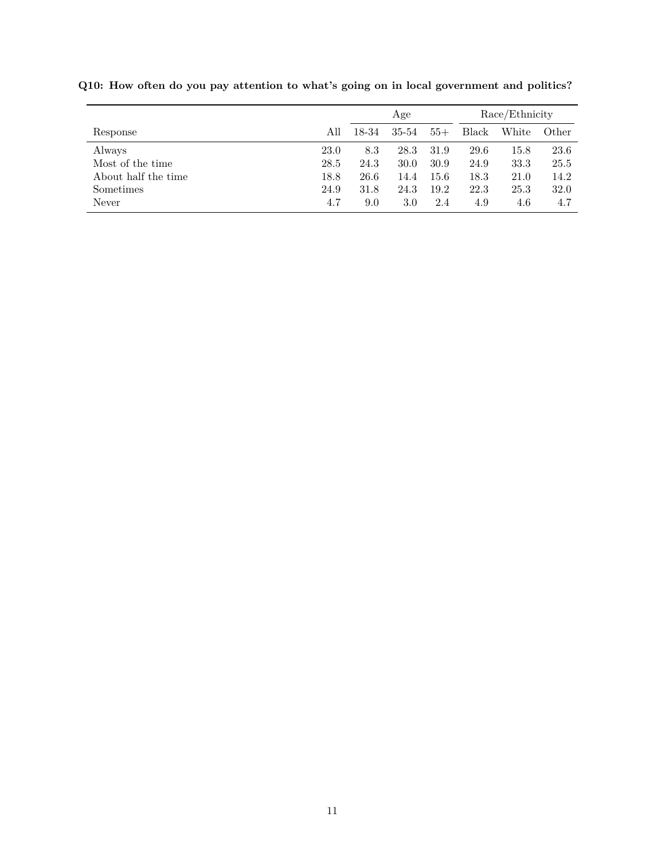|                     |      | Age   |       |       | Race/Ethnicity |       |       |
|---------------------|------|-------|-------|-------|----------------|-------|-------|
| Response            | All  | 18-34 | 35-54 | $55+$ | <b>Black</b>   | White | Other |
| Always              | 23.0 | 8.3   | 28.3  | 31.9  | 29.6           | 15.8  | 23.6  |
| Most of the time    | 28.5 | 24.3  | 30.0  | 30.9  | 24.9           | 33.3  | 25.5  |
| About half the time | 18.8 | 26.6  | 14.4  | 15.6  | 18.3           | 21.0  | 14.2  |
| Sometimes           | 24.9 | 31.8  | 24.3  | 19.2  | 22.3           | 25.3  | 32.0  |
| Never               | 4.7  | 9.0   | 3.0   | 2.4   | 4.9            | 4.6   | 4.7   |

**Q10: How often do you pay attention to what's going on in local government and politics?**